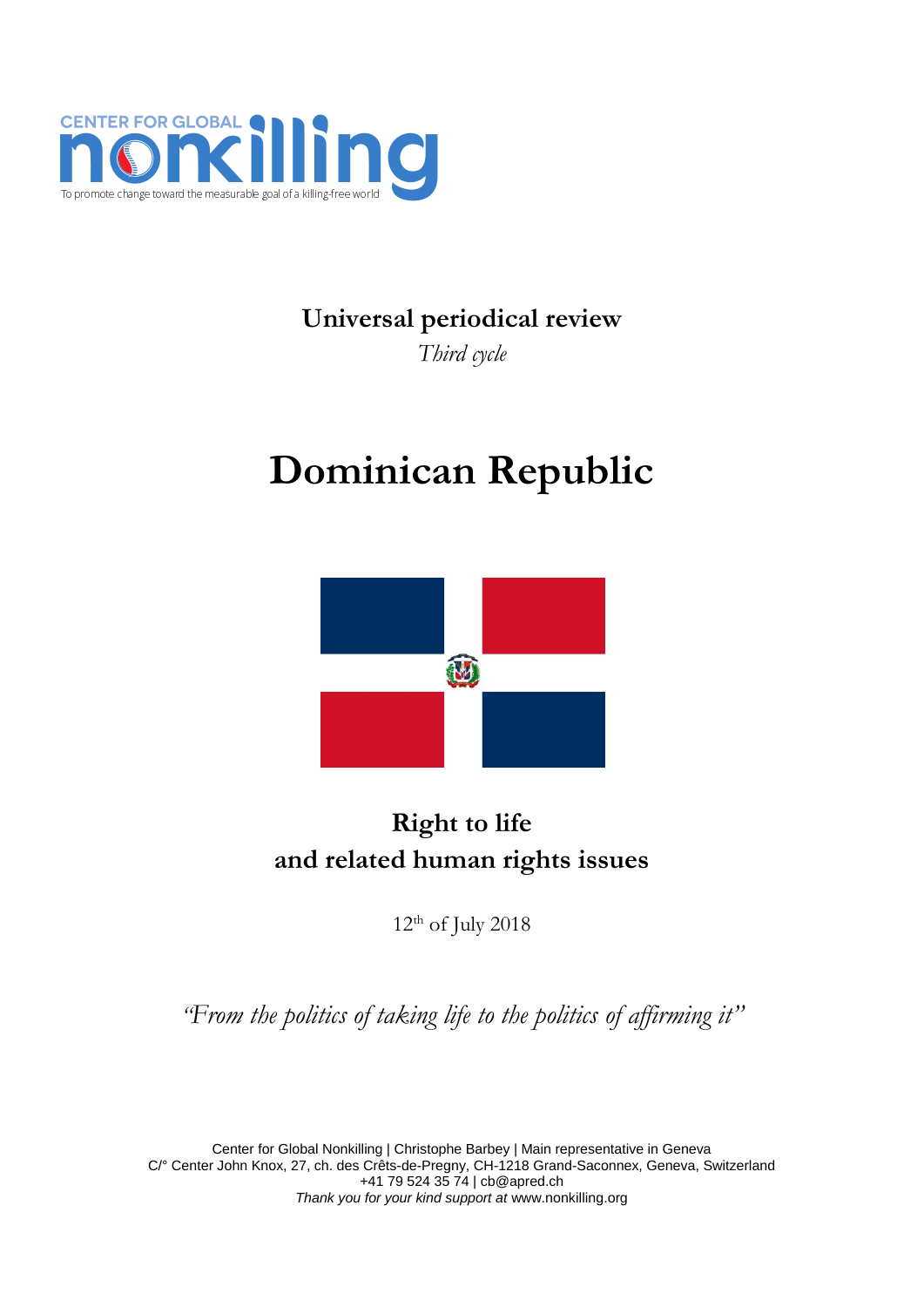

# **Universal periodical review**

*Third cycle*

# **Dominican Republic**



# **Right to life and related human rights issues**

 $12<sup>th</sup>$  of July 2018

*"From the politics of taking life to the politics of affirming it"*

Center for Global Nonkilling | Christophe Barbey | Main representative in Geneva C/° Center John Knox, 27, ch. des Crêts-de-Pregny, CH-1218 Grand-Saconnex, Geneva, Switzerland +41 79 524 35 74 [| cb@apred.ch](mailto:cb@apred.ch) *Thank you for your kind support at* [www.nonkilling.org](http://www.nonkilling.org/)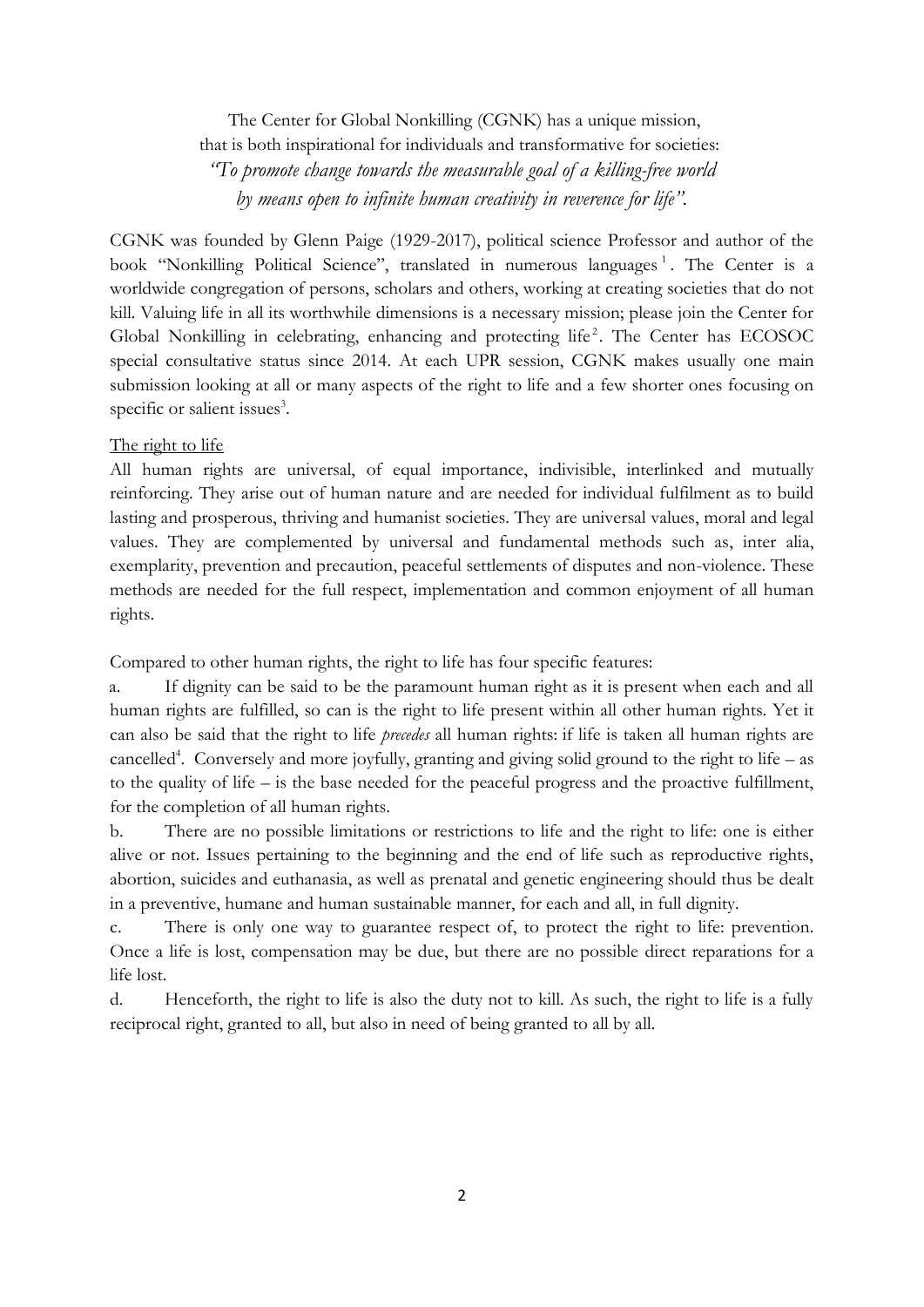The Center for Global Nonkilling (CGNK) has a unique mission, that is both inspirational for individuals and transformative for societies: *"To promote change towards the measurable goal of a killing-free world by means open to infinite human creativity in reverence for life".*

CGNK was founded by Glenn Paige (1929-2017), political science Professor and author of the book "Nonkilling Political Science", translated in numerous languages<sup>1</sup>. The Center is a worldwide congregation of persons, scholars and others, working at creating societies that do not kill. Valuing life in all its worthwhile dimensions is a necessary mission; please join the Center for Global Nonkilling in celebrating, enhancing and protecting life<sup>2</sup>. The Center has ECOSOC special consultative status since 2014. At each UPR session, CGNK makes usually one main submission looking at all or many aspects of the right to life and a few shorter ones focusing on specific or salient issues<sup>3</sup>.

#### The right to life

All human rights are universal, of equal importance, indivisible, interlinked and mutually reinforcing. They arise out of human nature and are needed for individual fulfilment as to build lasting and prosperous, thriving and humanist societies. They are universal values, moral and legal values. They are complemented by universal and fundamental methods such as, inter alia, exemplarity, prevention and precaution, peaceful settlements of disputes and non-violence. These methods are needed for the full respect, implementation and common enjoyment of all human rights.

Compared to other human rights, the right to life has four specific features:

a. If dignity can be said to be the paramount human right as it is present when each and all human rights are fulfilled, so can is the right to life present within all other human rights. Yet it can also be said that the right to life *precedes* all human rights: if life is taken all human rights are cancelled<sup>4</sup>. Conversely and more joyfully, granting and giving solid ground to the right to life – as to the quality of life – is the base needed for the peaceful progress and the proactive fulfillment, for the completion of all human rights.

b. There are no possible limitations or restrictions to life and the right to life: one is either alive or not. Issues pertaining to the beginning and the end of life such as reproductive rights, abortion, suicides and euthanasia, as well as prenatal and genetic engineering should thus be dealt in a preventive, humane and human sustainable manner, for each and all, in full dignity.

c. There is only one way to guarantee respect of, to protect the right to life: prevention. Once a life is lost, compensation may be due, but there are no possible direct reparations for a life lost.

d. Henceforth, the right to life is also the duty not to kill. As such, the right to life is a fully reciprocal right, granted to all, but also in need of being granted to all by all.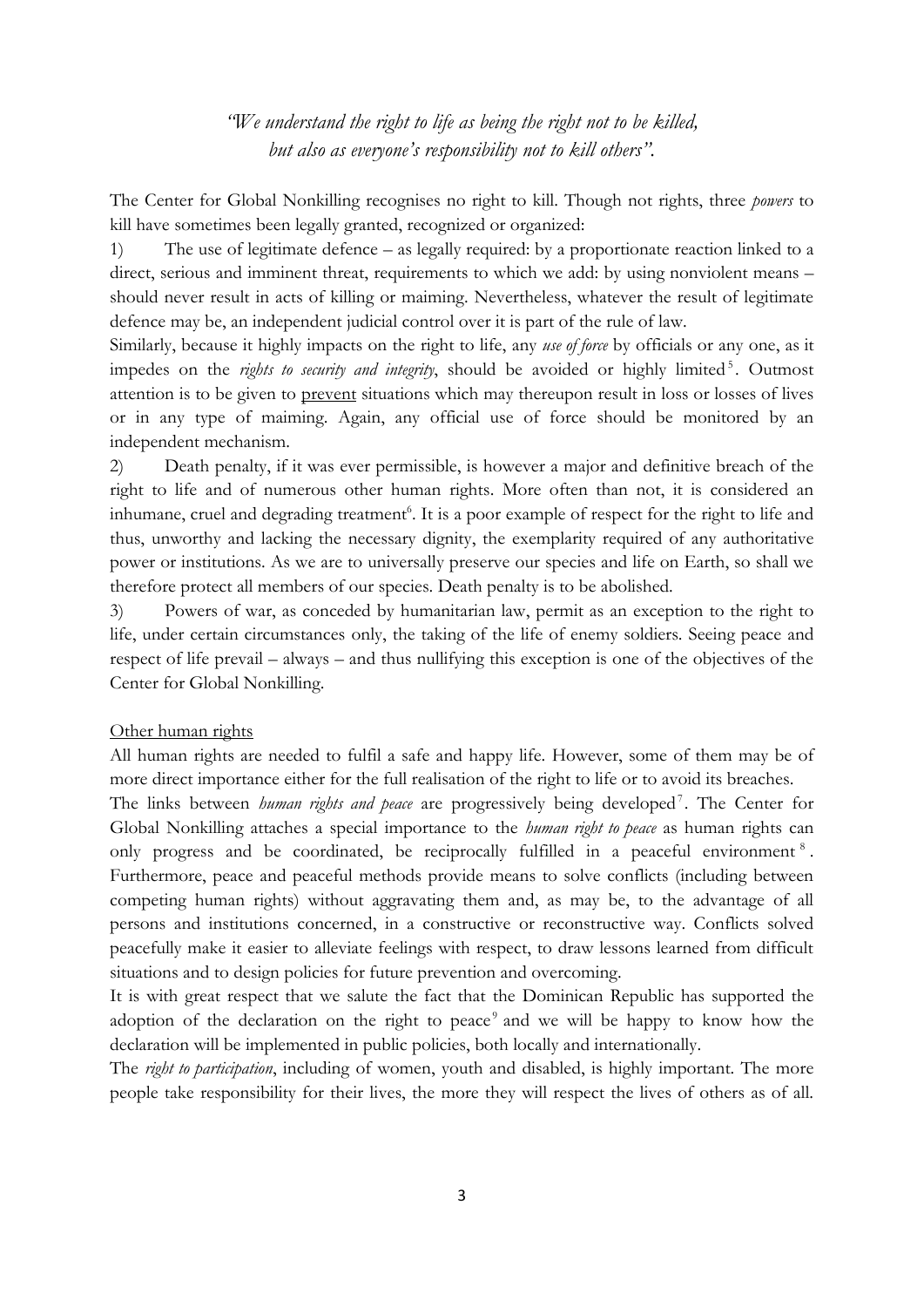## *"We understand the right to life as being the right not to be killed, but also as everyone's responsibility not to kill others".*

The Center for Global Nonkilling recognises no right to kill. Though not rights, three *powers* to kill have sometimes been legally granted, recognized or organized:

1) The use of legitimate defence – as legally required: by a proportionate reaction linked to a direct, serious and imminent threat, requirements to which we add: by using nonviolent means – should never result in acts of killing or maiming. Nevertheless, whatever the result of legitimate defence may be, an independent judicial control over it is part of the rule of law.

Similarly, because it highly impacts on the right to life, any *use of force* by officials or any one, as it impedes on the *rights to security and integrity*, should be avoided or highly limited<sup>5</sup>. Outmost attention is to be given to prevent situations which may thereupon result in loss or losses of lives or in any type of maiming. Again, any official use of force should be monitored by an independent mechanism.

2) Death penalty, if it was ever permissible, is however a major and definitive breach of the right to life and of numerous other human rights. More often than not, it is considered an inhumane, cruel and degrading treatment<sup>6</sup>. It is a poor example of respect for the right to life and thus, unworthy and lacking the necessary dignity, the exemplarity required of any authoritative power or institutions. As we are to universally preserve our species and life on Earth, so shall we therefore protect all members of our species. Death penalty is to be abolished.

3) Powers of war, as conceded by humanitarian law, permit as an exception to the right to life, under certain circumstances only, the taking of the life of enemy soldiers. Seeing peace and respect of life prevail – always – and thus nullifying this exception is one of the objectives of the Center for Global Nonkilling.

#### Other human rights

All human rights are needed to fulfil a safe and happy life. However, some of them may be of more direct importance either for the full realisation of the right to life or to avoid its breaches.

The links between *human rights and peace* are progressively being developed<sup>7</sup>. The Center for Global Nonkilling attaches a special importance to the *human right to peace* as human rights can only progress and be coordinated, be reciprocally fulfilled in a peaceful environment<sup>8</sup>. Furthermore, peace and peaceful methods provide means to solve conflicts (including between competing human rights) without aggravating them and, as may be, to the advantage of all persons and institutions concerned, in a constructive or reconstructive way. Conflicts solved peacefully make it easier to alleviate feelings with respect, to draw lessons learned from difficult situations and to design policies for future prevention and overcoming.

It is with great respect that we salute the fact that the Dominican Republic has supported the adoption of the declaration on the right to peace<sup>9</sup> and we will be happy to know how the declaration will be implemented in public policies, both locally and internationally.

The *right to participation*, including of women, youth and disabled, is highly important. The more people take responsibility for their lives, the more they will respect the lives of others as of all.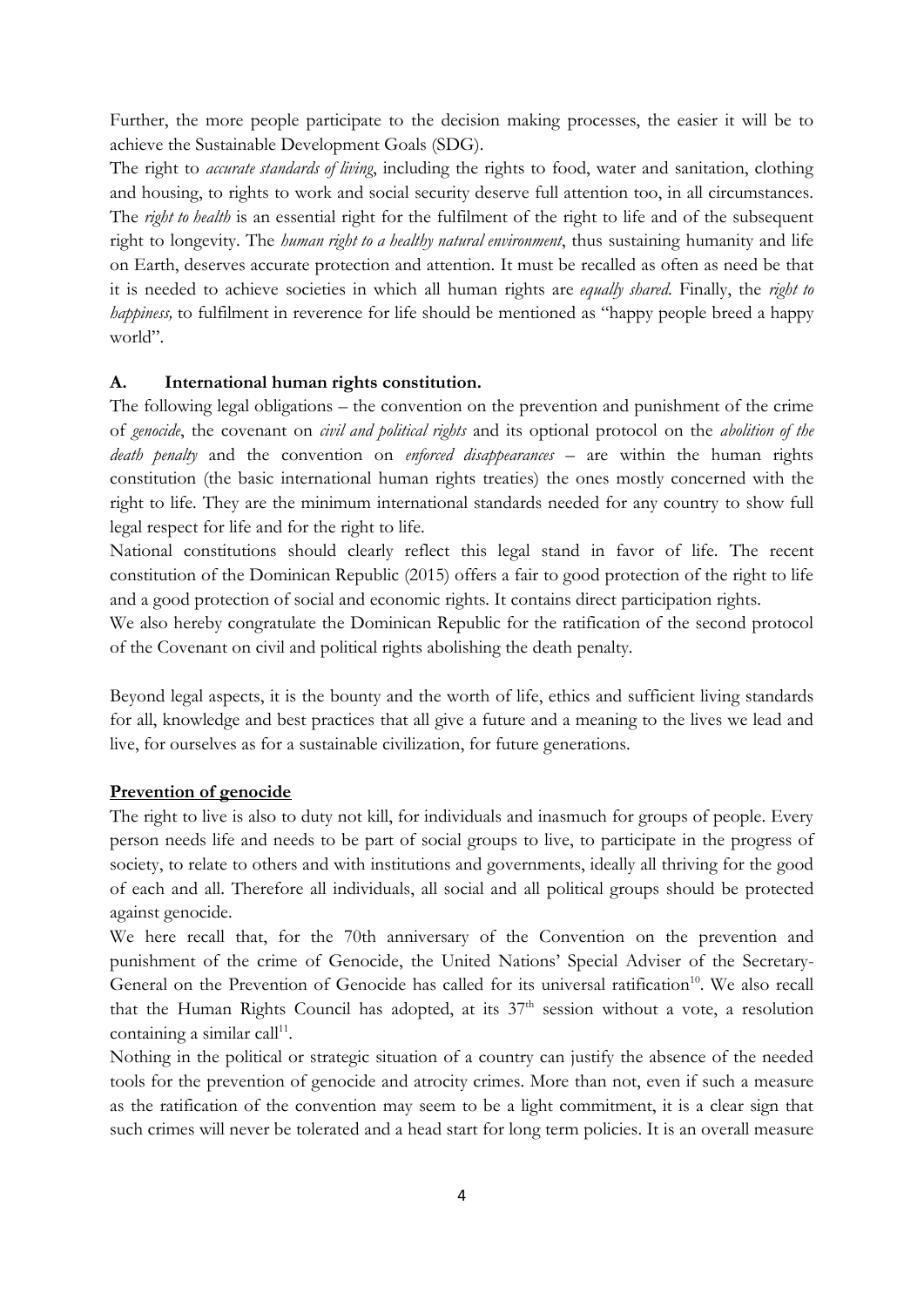Further, the more people participate to the decision making processes, the easier it will be to achieve the Sustainable Development Goals (SDG).

The right to *accurate standards of living*, including the rights to food, water and sanitation, clothing and housing, to rights to work and social security deserve full attention too, in all circumstances. The *right to health* is an essential right for the fulfilment of the right to life and of the subsequent right to longevity. The *human right to a healthy natural environment*, thus sustaining humanity and life on Earth, deserves accurate protection and attention. It must be recalled as often as need be that it is needed to achieve societies in which all human rights are *equally shared*. Finally, the *right to happiness,* to fulfilment in reverence for life should be mentioned as "happy people breed a happy world".

#### **A. International human rights constitution.**

The following legal obligations – the convention on the prevention and punishment of the crime of *genocide*, the covenant on *civil and political rights* and its optional protocol on the *abolition of the death penalty* and the convention on *enforced disappearances* – are within the human rights constitution (the basic international human rights treaties) the ones mostly concerned with the right to life. They are the minimum international standards needed for any country to show full legal respect for life and for the right to life.

National constitutions should clearly reflect this legal stand in favor of life. The recent constitution of the Dominican Republic (2015) offers a fair to good protection of the right to life and a good protection of social and economic rights. It contains direct participation rights.

We also hereby congratulate the Dominican Republic for the ratification of the second protocol of the Covenant on civil and political rights abolishing the death penalty.

Beyond legal aspects, it is the bounty and the worth of life, ethics and sufficient living standards for all, knowledge and best practices that all give a future and a meaning to the lives we lead and live, for ourselves as for a sustainable civilization, for future generations.

#### **Prevention of genocide**

The right to live is also to duty not kill, for individuals and inasmuch for groups of people. Every person needs life and needs to be part of social groups to live, to participate in the progress of society, to relate to others and with institutions and governments, ideally all thriving for the good of each and all. Therefore all individuals, all social and all political groups should be protected against genocide.

We here recall that, for the 70th anniversary of the Convention on the prevention and punishment of the crime of Genocide, the United Nations' Special Adviser of the Secretary-General on the Prevention of Genocide has called for its universal ratification<sup>10</sup>. We also recall that the Human Rights Council has adopted, at its  $37<sup>th</sup>$  session without a vote, a resolution containing a similar call<sup>11</sup>.

Nothing in the political or strategic situation of a country can justify the absence of the needed tools for the prevention of genocide and atrocity crimes. More than not, even if such a measure as the ratification of the convention may seem to be a light commitment, it is a clear sign that such crimes will never be tolerated and a head start for long term policies. It is an overall measure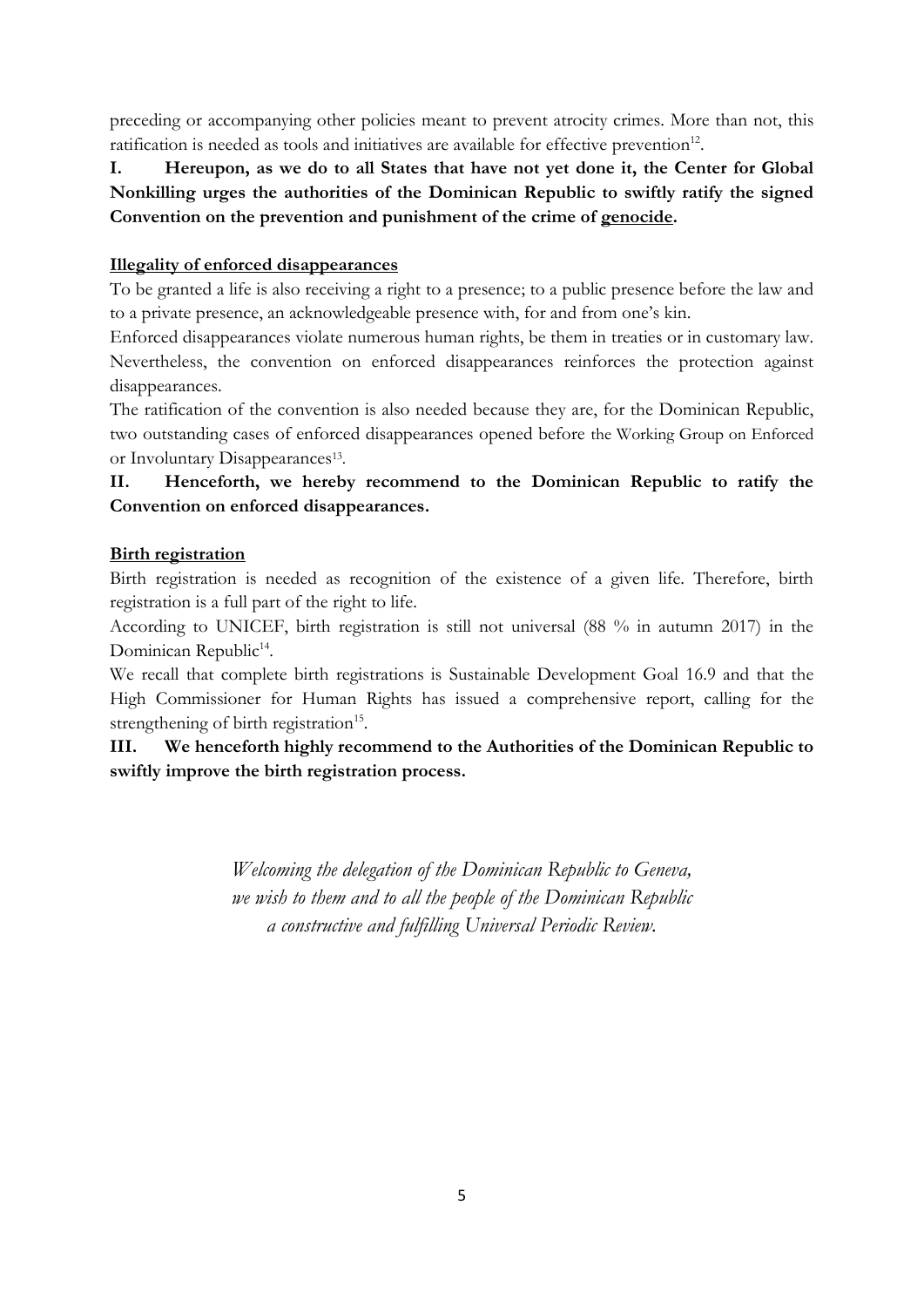preceding or accompanying other policies meant to prevent atrocity crimes. More than not, this ratification is needed as tools and initiatives are available for effective prevention<sup>12</sup>.

**I. Hereupon, as we do to all States that have not yet done it, the Center for Global Nonkilling urges the authorities of the Dominican Republic to swiftly ratify the signed Convention on the prevention and punishment of the crime of genocide.** 

#### **Illegality of enforced disappearances**

To be granted a life is also receiving a right to a presence; to a public presence before the law and to a private presence, an acknowledgeable presence with, for and from one's kin.

Enforced disappearances violate numerous human rights, be them in treaties or in customary law. Nevertheless, the convention on enforced disappearances reinforces the protection against disappearances.

The ratification of the convention is also needed because they are, for the Dominican Republic, two outstanding cases of enforced disappearances opened before the Working Group on Enforced or Involuntary Disappearances<sup>13</sup>.

## **II. Henceforth, we hereby recommend to the Dominican Republic to ratify the Convention on enforced disappearances.**

### **Birth registration**

Birth registration is needed as recognition of the existence of a given life. Therefore, birth registration is a full part of the right to life.

According to UNICEF, birth registration is still not universal (88 % in autumn 2017) in the Dominican Republic<sup>14</sup>.

We recall that complete birth registrations is Sustainable Development Goal 16.9 and that the High Commissioner for Human Rights has issued a comprehensive report, calling for the strengthening of birth registration<sup>15</sup>.

**III. We henceforth highly recommend to the Authorities of the Dominican Republic to swiftly improve the birth registration process.**

> *Welcoming the delegation of the Dominican Republic to Geneva, we wish to them and to all the people of the Dominican Republic a constructive and fulfilling Universal Periodic Review.*